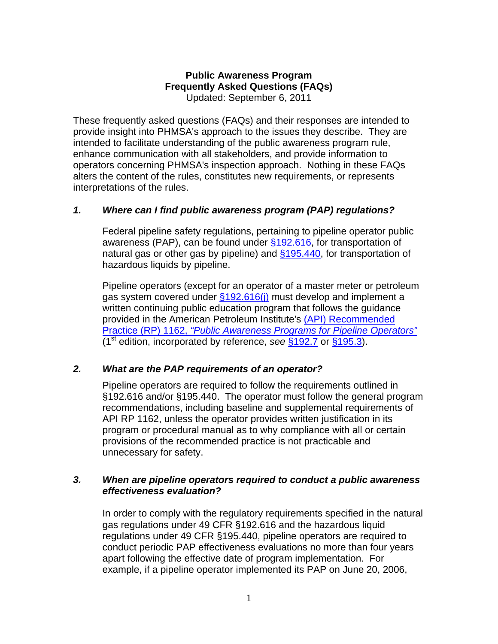### **Public Awareness Program Frequently Asked Questions (FAQs)**  Updated: September 6, 2011

These frequently asked questions (FAQs) and their responses are intended to provide insight into PHMSA's approach to the issues they describe. They are intended to facilitate understanding of the public awareness program rule, enhance communication with all stakeholders, and provide information to operators concerning PHMSA's inspection approach. Nothing in these FAQs alters the content of the rules, constitutes new requirements, or represents interpretations of the rules.

# *1. Where can I find public awareness program (PAP) regulations?*

Federal pipeline safety regulations, pertaining to pipeline operator public awareness (PAP), can be found under [§192.616](http://ecfr.gpoaccess.gov/cgi/t/text/text-idx?c=ecfr&sid=64ee3760570f76a445cb9612795fb946&rgn=div8&view=text&node=49:3.1.1.1.4.12.9.11&idno=49), for transportation of natural gas or other gas by pipeline) and \$195.440, for transportation of hazardous liquids by pipeline.

Pipeline operators (except for an operator of a master meter or petroleum gas system covered under [§192.616\(j\)](http://ecfr.gpoaccess.gov/cgi/t/text/text-idx?c=ecfr&sid=64ee3760570f76a445cb9612795fb946&rgn=div8&view=text&node=49:3.1.1.1.4.12.9.11&idno=49) must develop and implement a written continuing public education program that follows the guidance provided in the American Petroleum Institute's [\(API\) Recommended](http://mycommittees.api.org/standards/pipeline/1162 Links/1162nonprintable.pdf)  Practice (RP) 1162, *["Public Awareness Programs for Pipeline Operators"](http://mycommittees.api.org/standards/pipeline/1162 Links/1162nonprintable.pdf)* (1st edition, incorporated by reference, *see* [§192.7](http://ecfr.gpoaccess.gov/cgi/t/text/text-idx?c=ecfr;sid=1324885ddbcf29638b6bec7eee2b4189;rgn=div5;view=text;node=49%3A3.1.1.1.4;idno=49;cc=ecfr#49:3.1.1.1.4.1.9.4) or [§195.3\)](http://ecfr.gpoaccess.gov/cgi/t/text/text-idx?c=ecfr;sid=fa8cf69c321e93e3b77fabfa81059bd3;rgn=div5;view=text;node=49%3A3.1.1.1.7;idno=49;cc=ecfr#49:3.1.1.1.7.1.21.4).

# *2. What are the PAP requirements of an operator?*

Pipeline operators are required to follow the requirements outlined in §192.616 and/or §195.440. The operator must follow the general program recommendations, including baseline and supplemental requirements of API RP 1162, unless the operator provides written justification in its program or procedural manual as to why compliance with all or certain provisions of the recommended practice is not practicable and unnecessary for safety.

# *3. When are pipeline operators required to conduct a public awareness effectiveness evaluation?*

 In order to comply with the regulatory requirements specified in the natural gas regulations under 49 CFR §192.616 and the hazardous liquid regulations under 49 CFR §195.440, pipeline operators are required to conduct periodic PAP effectiveness evaluations no more than four years apart following the effective date of program implementation. For example, if a pipeline operator implemented its PAP on June 20, 2006,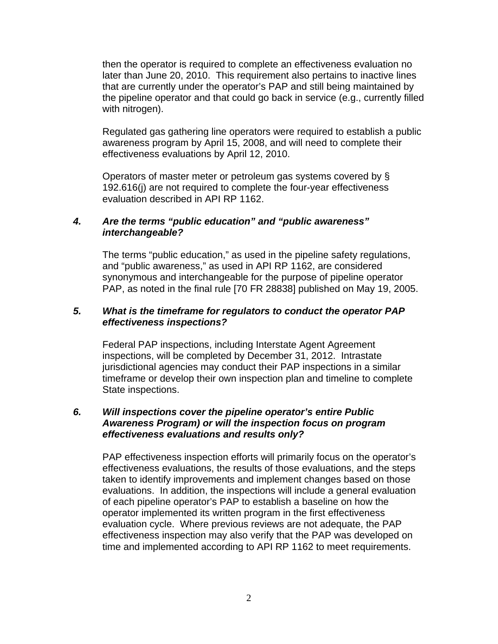then the operator is required to complete an effectiveness evaluation no later than June 20, 2010. This requirement also pertains to inactive lines that are currently under the operator's PAP and still being maintained by the pipeline operator and that could go back in service (e.g., currently filled with nitrogen).

 Regulated gas gathering line operators were required to establish a public awareness program by April 15, 2008, and will need to complete their effectiveness evaluations by April 12, 2010.

 Operators of master meter or petroleum gas systems covered by § 192.616(j) are not required to complete the four-year effectiveness evaluation described in API RP 1162.

### *4. Are the terms "public education" and "public awareness" interchangeable?*

The terms "public education," as used in the pipeline safety regulations, and "public awareness," as used in API RP 1162, are considered synonymous and interchangeable for the purpose of pipeline operator PAP, as noted in the final rule [70 FR 28838] published on May 19, 2005.

#### *5. What is the timeframe for regulators to conduct the operator PAP effectiveness inspections?*

 Federal PAP inspections, including Interstate Agent Agreement inspections, will be completed by December 31, 2012. Intrastate jurisdictional agencies may conduct their PAP inspections in a similar timeframe or develop their own inspection plan and timeline to complete State inspections.

### *6. Will inspections cover the pipeline operator's entire Public Awareness Program) or will the inspection focus on program effectiveness evaluations and results only?*

 PAP effectiveness inspection efforts will primarily focus on the operator's effectiveness evaluations, the results of those evaluations, and the steps taken to identify improvements and implement changes based on those evaluations. In addition, the inspections will include a general evaluation of each pipeline operator's PAP to establish a baseline on how the operator implemented its written program in the first effectiveness evaluation cycle. Where previous reviews are not adequate, the PAP effectiveness inspection may also verify that the PAP was developed on time and implemented according to API RP 1162 to meet requirements.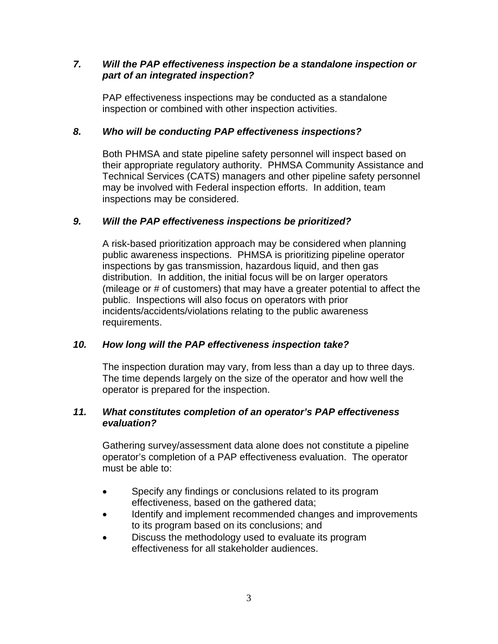## *7. Will the PAP effectiveness inspection be a standalone inspection or part of an integrated inspection?*

 PAP effectiveness inspections may be conducted as a standalone inspection or combined with other inspection activities.

# *8. Who will be conducting PAP effectiveness inspections?*

 Both PHMSA and state pipeline safety personnel will inspect based on their appropriate regulatory authority. PHMSA Community Assistance and Technical Services (CATS) managers and other pipeline safety personnel may be involved with Federal inspection efforts. In addition, team inspections may be considered.

# *9. Will the PAP effectiveness inspections be prioritized?*

A risk-based prioritization approach may be considered when planning public awareness inspections. PHMSA is prioritizing pipeline operator inspections by gas transmission, hazardous liquid, and then gas distribution. In addition, the initial focus will be on larger operators (mileage or # of customers) that may have a greater potential to affect the public. Inspections will also focus on operators with prior incidents/accidents/violations relating to the public awareness requirements.

# *10. How long will the PAP effectiveness inspection take?*

 The inspection duration may vary, from less than a day up to three days. The time depends largely on the size of the operator and how well the operator is prepared for the inspection.

### *11. What constitutes completion of an operator's PAP effectiveness evaluation?*

 Gathering survey/assessment data alone does not constitute a pipeline operator's completion of a PAP effectiveness evaluation. The operator must be able to:

- Specify any findings or conclusions related to its program effectiveness, based on the gathered data;
- Identify and implement recommended changes and improvements to its program based on its conclusions; and
- Discuss the methodology used to evaluate its program effectiveness for all stakeholder audiences.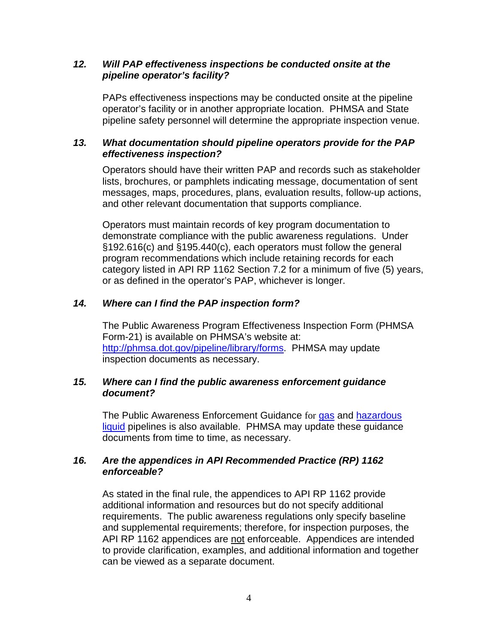## *12. Will PAP effectiveness inspections be conducted onsite at the pipeline operator's facility?*

 PAPs effectiveness inspections may be conducted onsite at the pipeline operator's facility or in another appropriate location. PHMSA and State pipeline safety personnel will determine the appropriate inspection venue.

# *13. What documentation should pipeline operators provide for the PAP effectiveness inspection?*

 Operators should have their written PAP and records such as stakeholder lists, brochures, or pamphlets indicating message, documentation of sent messages, maps, procedures, plans, evaluation results, follow-up actions, and other relevant documentation that supports compliance.

Operators must maintain records of key program documentation to demonstrate compliance with the public awareness regulations. Under §192.616(c) and §195.440(c), each operators must follow the general program recommendations which include retaining records for each category listed in API RP 1162 Section 7.2 for a minimum of five (5) years, or as defined in the operator's PAP, whichever is longer.

# *14. Where can I find the PAP inspection form?*

 The Public Awareness Program Effectiveness Inspection Form (PHMSA Form-21) is available on PHMSA's website at: [http://phmsa.dot.gov/pipeline/library/forms.](http://phmsa.dot.gov/pipeline/library/forms) PHMSA may update inspection documents as necessary.

### *15. Where can I find the public awareness enforcement guidance document?*

The Public Awareness Enforcement Guidance for [gas a](http://www.phmsa.dot.gov/staticfiles/PHMSA/DownloadableFiles/Public Awareness Enforcement Guidance Part 192 _7 27 2011_.pdf)nd hazardous [liquid](http://www.phmsa.dot.gov/staticfiles/PHMSA/DownloadableFiles/Public Awareness Enforcement Guidance Part 195 _7 27 2011_ _2_.pdf) pipelines is also available. PHMSA may update these quidance documents from time to time, as necessary.

# *16. Are the appendices in API Recommended Practice (RP) 1162 enforceable?*

As stated in the final rule, the appendices to API RP 1162 provide additional information and resources but do not specify additional requirements. The public awareness regulations only specify baseline and supplemental requirements; therefore, for inspection purposes, the API RP 1162 appendices are not enforceable. Appendices are intended to provide clarification, examples, and additional information and together can be viewed as a separate document.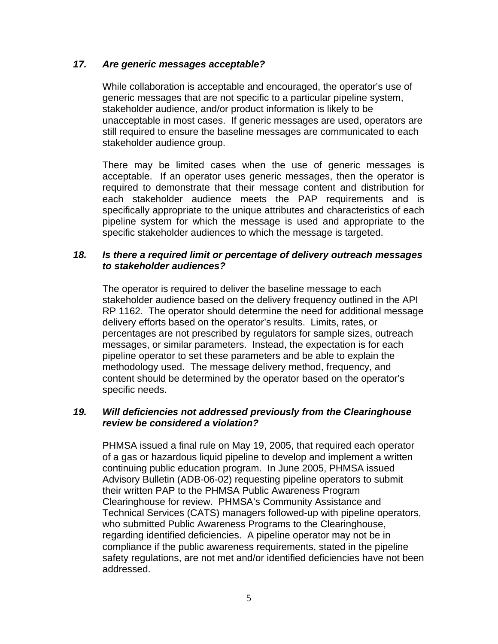### *17. Are generic messages acceptable?*

While collaboration is acceptable and encouraged, the operator's use of generic messages that are not specific to a particular pipeline system, stakeholder audience, and/or product information is likely to be unacceptable in most cases. If generic messages are used, operators are still required to ensure the baseline messages are communicated to each stakeholder audience group.

There may be limited cases when the use of generic messages is acceptable. If an operator uses generic messages, then the operator is required to demonstrate that their message content and distribution for each stakeholder audience meets the PAP requirements and is specifically appropriate to the unique attributes and characteristics of each pipeline system for which the message is used and appropriate to the specific stakeholder audiences to which the message is targeted.

#### *18. Is there a required limit or percentage of delivery outreach messages to stakeholder audiences?*

 The operator is required to deliver the baseline message to each stakeholder audience based on the delivery frequency outlined in the API RP 1162. The operator should determine the need for additional message delivery efforts based on the operator's results. Limits, rates, or percentages are not prescribed by regulators for sample sizes, outreach messages, or similar parameters. Instead, the expectation is for each pipeline operator to set these parameters and be able to explain the methodology used. The message delivery method, frequency, and content should be determined by the operator based on the operator's specific needs.

### *19. Will deficiencies not addressed previously from the Clearinghouse review be considered a violation?*

 PHMSA issued a final rule on May 19, 2005, that required each operator of a gas or hazardous liquid pipeline to develop and implement a written continuing public education program. In June 2005, PHMSA issued Advisory Bulletin (ADB-06-02) requesting pipeline operators to submit their written PAP to the PHMSA Public Awareness Program Clearinghouse for review. PHMSA's Community Assistance and Technical Services (CATS) managers followed-up with pipeline operators, who submitted Public Awareness Programs to the Clearinghouse, regarding identified deficiencies. A pipeline operator may not be in compliance if the public awareness requirements, stated in the pipeline safety regulations, are not met and/or identified deficiencies have not been addressed.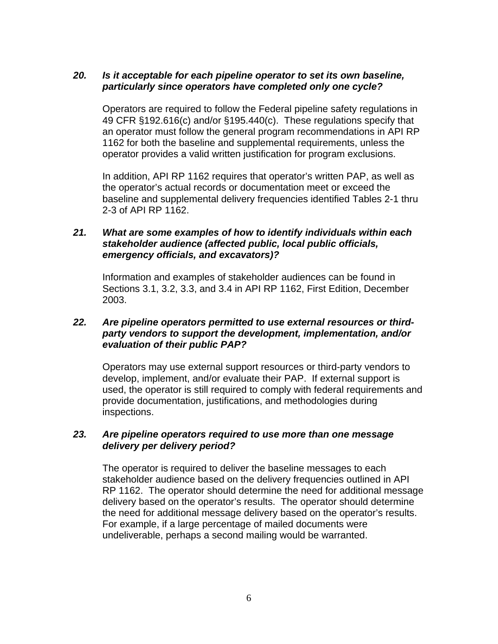## *20. Is it acceptable for each pipeline operator to set its own baseline, particularly since operators have completed only one cycle?*

 Operators are required to follow the Federal pipeline safety regulations in 49 CFR §192.616(c) and/or §195.440(c). These regulations specify that an operator must follow the general program recommendations in API RP 1162 for both the baseline and supplemental requirements, unless the operator provides a valid written justification for program exclusions.

 In addition, API RP 1162 requires that operator's written PAP, as well as the operator's actual records or documentation meet or exceed the baseline and supplemental delivery frequencies identified Tables 2-1 thru 2-3 of API RP 1162.

#### *21. What are some examples of how to identify individuals within each stakeholder audience (affected public, local public officials, emergency officials, and excavators)?*

 Information and examples of stakeholder audiences can be found in Sections 3.1, 3.2, 3.3, and 3.4 in API RP 1162, First Edition, December 2003.

#### *22. Are pipeline operators permitted to use external resources or thirdparty vendors to support the development, implementation, and/or evaluation of their public PAP?*

Operators may use external support resources or third-party vendors to develop, implement, and/or evaluate their PAP. If external support is used, the operator is still required to comply with federal requirements and provide documentation, justifications, and methodologies during inspections.

#### *23. Are pipeline operators required to use more than one message delivery per delivery period?*

The operator is required to deliver the baseline messages to each stakeholder audience based on the delivery frequencies outlined in API RP 1162. The operator should determine the need for additional message delivery based on the operator's results. The operator should determine the need for additional message delivery based on the operator's results. For example, if a large percentage of mailed documents were undeliverable, perhaps a second mailing would be warranted.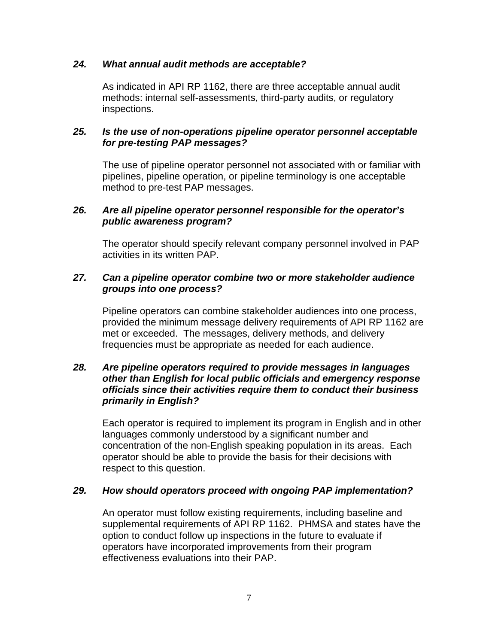#### *24. What annual audit methods are acceptable?*

As indicated in API RP 1162, there are three acceptable annual audit methods: internal self-assessments, third-party audits, or regulatory inspections.

### *25. Is the use of non-operations pipeline operator personnel acceptable for pre-testing PAP messages?*

The use of pipeline operator personnel not associated with or familiar with pipelines, pipeline operation, or pipeline terminology is one acceptable method to pre-test PAP messages.

#### *26. Are all pipeline operator personnel responsible for the operator's public awareness program?*

The operator should specify relevant company personnel involved in PAP activities in its written PAP.

## *27. Can a pipeline operator combine two or more stakeholder audience groups into one process?*

Pipeline operators can combine stakeholder audiences into one process, provided the minimum message delivery requirements of API RP 1162 are met or exceeded. The messages, delivery methods, and delivery frequencies must be appropriate as needed for each audience.

#### *28. Are pipeline operators required to provide messages in languages other than English for local public officials and emergency response officials since their activities require them to conduct their business primarily in English?*

Each operator is required to implement its program in English and in other languages commonly understood by a significant number and concentration of the non-English speaking population in its areas. Each operator should be able to provide the basis for their decisions with respect to this question.

### *29. How should operators proceed with ongoing PAP implementation?*

An operator must follow existing requirements, including baseline and supplemental requirements of API RP 1162. PHMSA and states have the option to conduct follow up inspections in the future to evaluate if operators have incorporated improvements from their program effectiveness evaluations into their PAP.